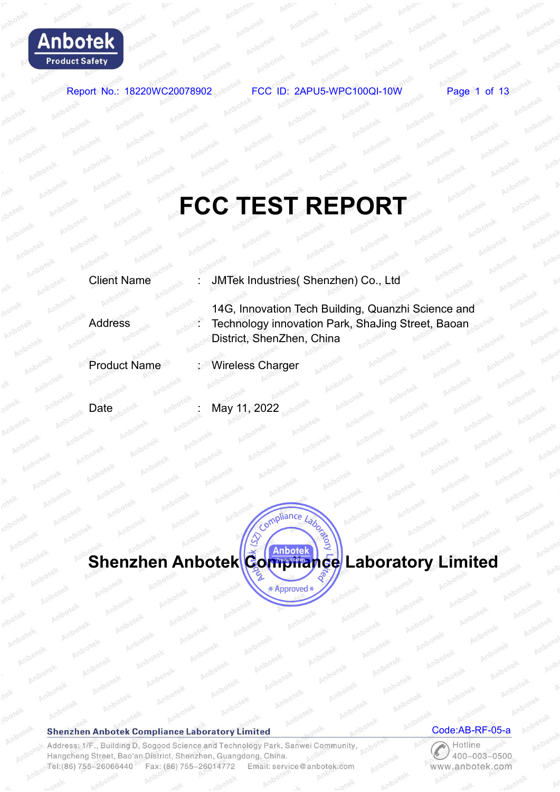

Report No.: 18220WC20078902 FCC ID: 2APU5-WPC100QI-10W Page 1 of 13

# **FCC TEST REPORT**

| <b>Client Name</b>  | JMTek Industries(Shenzhen) Co., Ltd                |
|---------------------|----------------------------------------------------|
|                     |                                                    |
|                     | 14G, Innovation Tech Building, Quanzhi Science and |
| <b>Address</b>      | Technology innovation Park, ShaJing Street, Baoan  |
|                     | District, ShenZhen, China                          |
|                     |                                                    |
| <b>Product Name</b> | <b>Wireless Charger</b>                            |
|                     |                                                    |

Date  $\frac{1}{2}$  and  $\frac{1}{2}$  May 11, 2022



#### **Shenzhen Anbotek Compliance Laboratory Limited**

Address: 1/F., Building D, Sogood Science and Technology Park, Sanwei Community Hangcheng Street, Bao'an District, Shenzhen, Guangdong, China. Tel: (86) 755-26066440 Fax: (86) 755-26014772 Email: service@anbotek.com

#### Code:AB-RF-05-a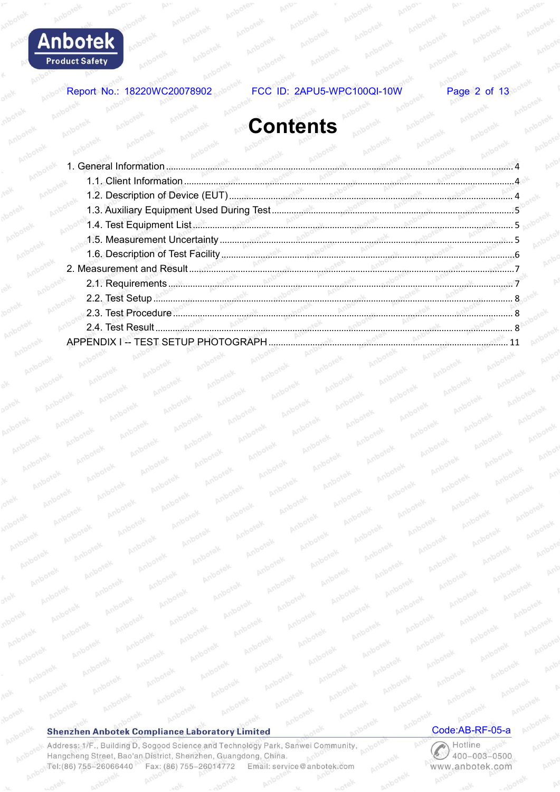![](_page_1_Picture_0.jpeg)

Report No.: 18220WC20078902 FCC ID: 2APU5-WPC100QI-10W Page 2 of 13

# **Contents**

| 1. General Information                                                                                                                                                                                                        |  |
|-------------------------------------------------------------------------------------------------------------------------------------------------------------------------------------------------------------------------------|--|
|                                                                                                                                                                                                                               |  |
|                                                                                                                                                                                                                               |  |
|                                                                                                                                                                                                                               |  |
|                                                                                                                                                                                                                               |  |
|                                                                                                                                                                                                                               |  |
|                                                                                                                                                                                                                               |  |
|                                                                                                                                                                                                                               |  |
|                                                                                                                                                                                                                               |  |
|                                                                                                                                                                                                                               |  |
| 2.3. Test Procedure borrows and the particle and proposition and the contract of the contract of the contract of the contract of the contract of the contract of the contract of the contract of the contract of the contract |  |
|                                                                                                                                                                                                                               |  |
| APPENDIX I -- TEST SETUP PHOTOGRAPH                                                                                                                                                                                           |  |
|                                                                                                                                                                                                                               |  |

#### **Shenzhen Anbotek Compliance Laboratory Limited**

Address: 1/F., Building D, Sogood Science and Technology Park, Sanwei Community, Hangcheng Street, Bao'an District, Shenzhen, Guangdong, China. Tel: (86) 755-26066440 Fax: (86) 755-26014772 Email: service@anbotek.com

#### Code:AB-RF-05-a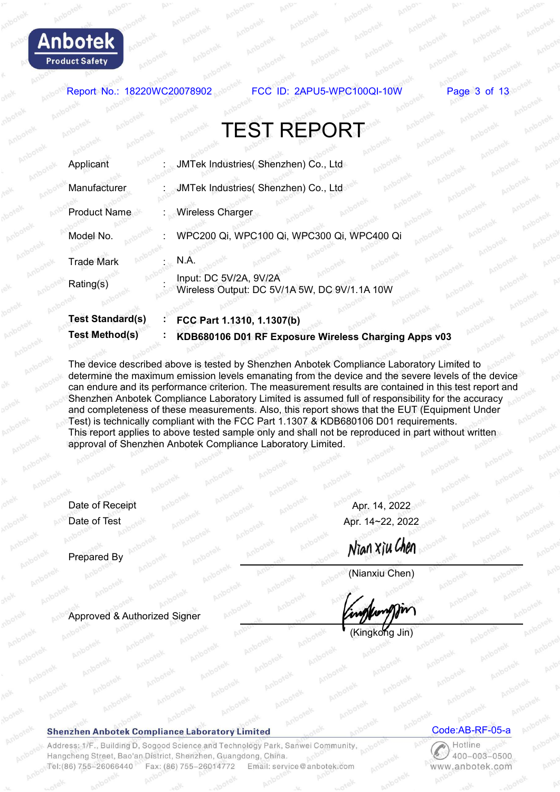![](_page_2_Picture_0.jpeg)

Report No.: 18220WC20078902 FCC ID: 2APU5-WPC100QI-10W Page 3 of 13

# TEST REPORT

| Applicant               | JMTek Industries(Shenzhen) Co., Ltd                                    |
|-------------------------|------------------------------------------------------------------------|
| Manufacturer            | JMTek Industries(Shenzhen) Co., Ltd                                    |
| <b>Product Name</b>     | <b>Wireless Charger</b>                                                |
| Model No.               | WPC200 Qi, WPC100 Qi, WPC300 Qi, WPC400 Qi                             |
| <b>Trade Mark</b>       | N.A.                                                                   |
| Rating(s)               | Input: DC 5V/2A, 9V/2A<br>Wireless Output: DC 5V/1A 5W, DC 9V/1.1A 10W |
| <b>Test Standard(s)</b> | FCC Part 1.1310, 1.1307(b)                                             |
| <b>Test Method(s)</b>   | KDB680106 D01 RF Exposure Wireless Charging Apps v03                   |

The device described above is tested by Shenzhen Anbotek Compliance Laboratory Limited to determine the maximum emission levels emanating from the device and the severe levels of the device can endure and its performance criterion. The measurement results are contained in this test report and Shenzhen Anbotek Compliance Laboratory Limited is assumed full of responsibility for the accuracy and completeness of these measurements. Also, this report shows that the EUT (Equipment Under Test) is technically compliant with the FCC Part 1.1307 & KDB680106 D01 requirements. This report applies to above tested sample only and shall not be reproduced in part without written approval of Shenzhen Anbotek Compliance Laboratory Limited.

Date of Receipt Apr Apr. 14, 2022

Prepared By

Date of Test Apr. 14~22, 2022

Nian xiu Chen

(Nianxiu Chen)

(Kingkong Jin)

#### **Shenzhen Anbotek Compliance Laboratory Limited**

Approved & Authorized Signer

Address: 1/F., Building D, Sogood Science and Technology Park, Sanwei Community Hangcheng Street, Bao'an District, Shenzhen, Guangdong, China. Tel: (86) 755-26066440 Fax: (86) 755-26014772 Email: service@anbotek.com

#### Code:AB-RF-05-a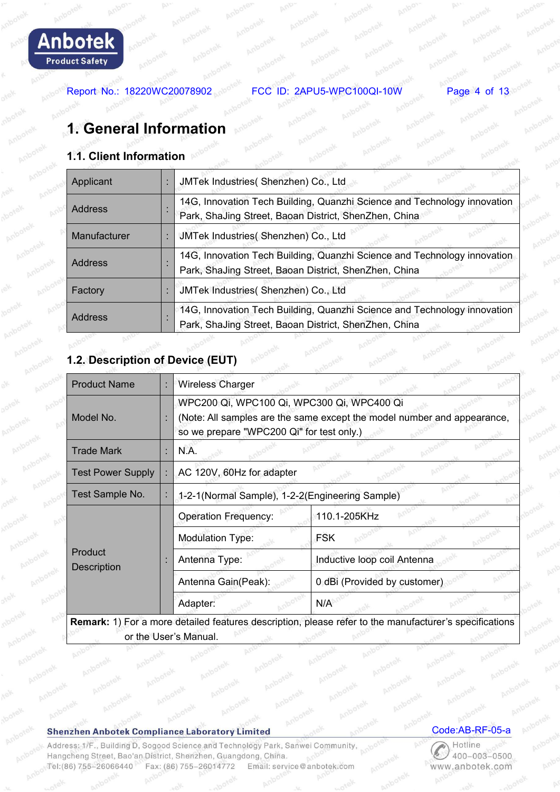![](_page_3_Picture_0.jpeg)

## <span id="page-3-0"></span>**1. General Information**

#### <span id="page-3-1"></span>**1.1. Client Information**

| Applicant      | JMTek Industries(Shenzhen) Co., Ltd                                                                                               |
|----------------|-----------------------------------------------------------------------------------------------------------------------------------|
| <b>Address</b> | 14G, Innovation Tech Building, Quanzhi Science and Technology innovation<br>Park, ShaJing Street, Baoan District, ShenZhen, China |
| Manufacturer   | JMTek Industries(Shenzhen) Co., Ltd                                                                                               |
| <b>Address</b> | 14G, Innovation Tech Building, Quanzhi Science and Technology innovation<br>Park, ShaJing Street, Baoan District, ShenZhen, China |
| Factory        | JMTek Industries(Shenzhen) Co., Ltd                                                                                               |
| <b>Address</b> | 14G, Innovation Tech Building, Quanzhi Science and Technology innovation<br>Park, ShaJing Street, Baoan District, ShenZhen, China |

#### <span id="page-3-2"></span>**1.2. Description of Device (EUT)**

| <b>Product Name</b>           | <b>Wireless Charger</b>                                                                 |                                                                         |  |  |  |  |  |  |  |
|-------------------------------|-----------------------------------------------------------------------------------------|-------------------------------------------------------------------------|--|--|--|--|--|--|--|
| Model No.                     | WPC200 Qi, WPC100 Qi, WPC300 Qi, WPC400 Qi<br>so we prepare "WPC200 Qi" for test only.) | (Note: All samples are the same except the model number and appearance, |  |  |  |  |  |  |  |
| <b>Trade Mark</b>             | N.A.                                                                                    |                                                                         |  |  |  |  |  |  |  |
| <b>Test Power Supply</b>      | AC 120V, 60Hz for adapter                                                               |                                                                         |  |  |  |  |  |  |  |
| Test Sample No.               |                                                                                         | 1-2-1 (Normal Sample), 1-2-2 (Engineering Sample)                       |  |  |  |  |  |  |  |
|                               | <b>Operation Frequency:</b>                                                             | 110.1-205KHz                                                            |  |  |  |  |  |  |  |
|                               | <b>Modulation Type:</b>                                                                 | <b>FSK</b>                                                              |  |  |  |  |  |  |  |
| Product<br><b>Description</b> | Antenna Type:                                                                           | Inductive loop coil Antenna                                             |  |  |  |  |  |  |  |
|                               | Antenna Gain(Peak):                                                                     | 0 dBi (Provided by customer)                                            |  |  |  |  |  |  |  |
|                               | Adapter:                                                                                | N/A                                                                     |  |  |  |  |  |  |  |

#### **Shenzhen Anbotek Compliance Laboratory Limited**

Address: 1/F., Building D, Sogood Science and Technology Park, Sanwei Community, Hangcheng Street, Bao'an District, Shenzhen, Guangdong, China. Tel: (86) 755-26066440 Fax: (86) 755-26014772 Email: service@anbotek.com

#### Code:AB-RF-05-a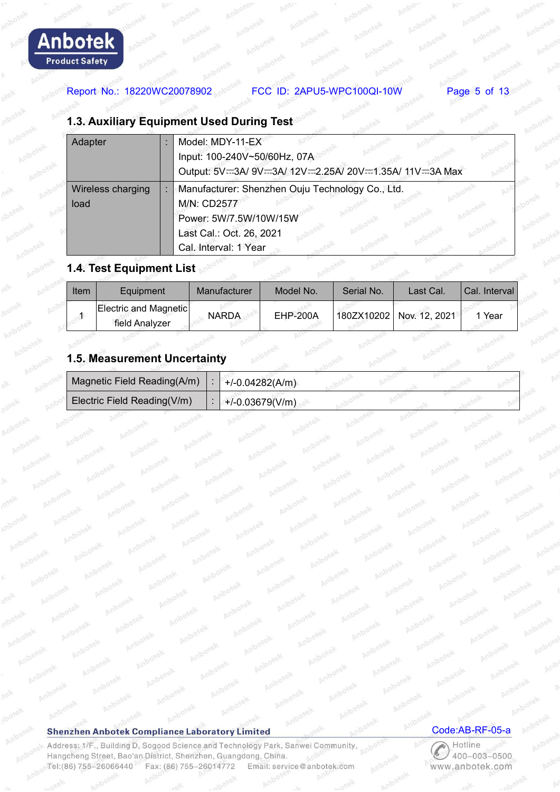![](_page_4_Picture_0.jpeg)

#### Report No.: 18220WC20078902 FCC ID: 2APU5-WPC100QI-10W Page 5 of 13

#### <span id="page-4-0"></span>**1.3. Auxiliary Equipment Used During Test**

| Adapter                   | Model: MDY-11-EX<br>Input: 100-240V~50/60Hz, 07A<br>Output: 5V=3A/ 9V=3A/ 12V=2.25A/ 20V=1.35A/ 11V=3A Max                                     |  |
|---------------------------|------------------------------------------------------------------------------------------------------------------------------------------------|--|
| Wireless charging<br>load | Manufacturer: Shenzhen Ouju Technology Co., Ltd.<br>M/N: CD2577<br>Power: 5W/7.5W/10W/15W<br>Last Cal.: Oct. 26, 2021<br>Cal. Interval: 1 Year |  |

## <span id="page-4-1"></span>**1.4. Test Equipment List**

| Item | Equipment             | Manufacturer | Model No.       | Serial No. | Last Cal.                  | l Cal. Interval l |  |
|------|-----------------------|--------------|-----------------|------------|----------------------------|-------------------|--|
|      | Electric and Magnetic | <b>NARDA</b> | <b>EHP-200A</b> |            | 180ZX10202   Nov. 12, 2021 | Year              |  |
|      | field Analyzer        |              |                 |            |                            |                   |  |

#### <span id="page-4-2"></span>**1.5. Measurement Uncertainty**

| Magnetic Field Reading(A/m) | $\therefore$ +/-0.04282(A/m) |  |  |
|-----------------------------|------------------------------|--|--|
| Electric Field Reading(V/m) | $+/-0.03679(V/m)$            |  |  |

#### **Shenzhen Anbotek Compliance Laboratory Limited**

Address: 1/F., Building D, Sogood Science and Technology Park, Sanwei Community, Hangcheng Street, Bao'an District, Shenzhen, Guangdong, China. Tel: (86) 755-26066440 Fax: (86) 755-26014772 Email: service@anbotek.com

#### Code:AB-RF-05-a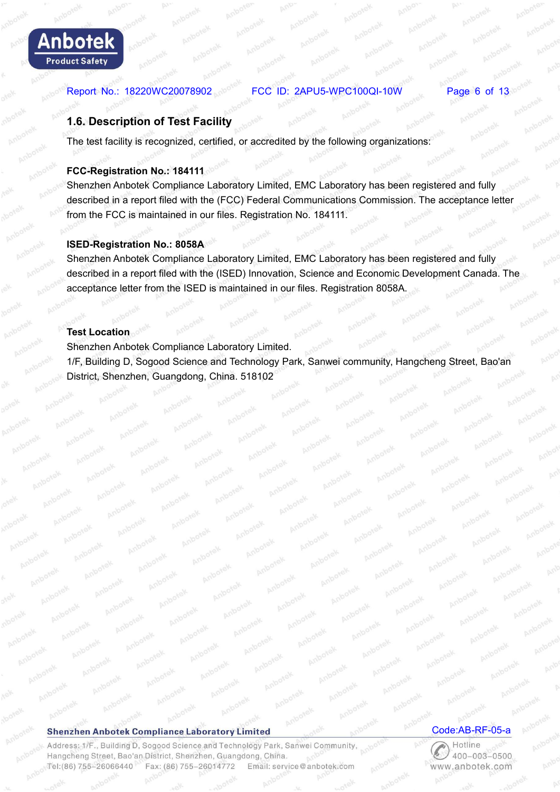![](_page_5_Picture_0.jpeg)

#### Report No.: 18220WC20078902 FCC ID: 2APU5-WPC100QI-10W Page 6 of 13

#### <span id="page-5-0"></span>**1.6. Description of Test Facility**

The test facility is recognized, certified, or accredited by the following organizations:

#### **FCC-Registration No.: 184111**

Shenzhen Anbotek Compliance Laboratory Limited, EMC Laboratory has been registered and fully described in a report filed with the (FCC) Federal Communications Commission. The acceptance letter from the FCC is maintained in our files. Registration No. 184111.

#### **ISED-Registration No.: 8058A**

Shenzhen Anbotek Compliance Laboratory Limited, EMC Laboratory has been registered and fully described in a report filed with the (ISED) Innovation, Science and Economic Development Canada. The acceptance letter from the ISED is maintained in our files. Registration 8058A.

#### **Test Location**

Shenzhen Anbotek Compliance Laboratory Limited. 1/F, Building D, Sogood Science and Technology Park, Sanwei community, Hangcheng Street, Bao'an District, Shenzhen, Guangdong, China. 518102

#### **Shenzhen Anbotek Compliance Laboratory Limited**

Address: 1/F., Building D, Sogood Science and Technology Park, Sanwei Community, Hangcheng Street, Bao'an District, Shenzhen, Guangdong, China. Tel: (86) 755-26066440 Fax: (86) 755-26014772 Email: service@anbotek.com

#### Code:AB-RF-05-a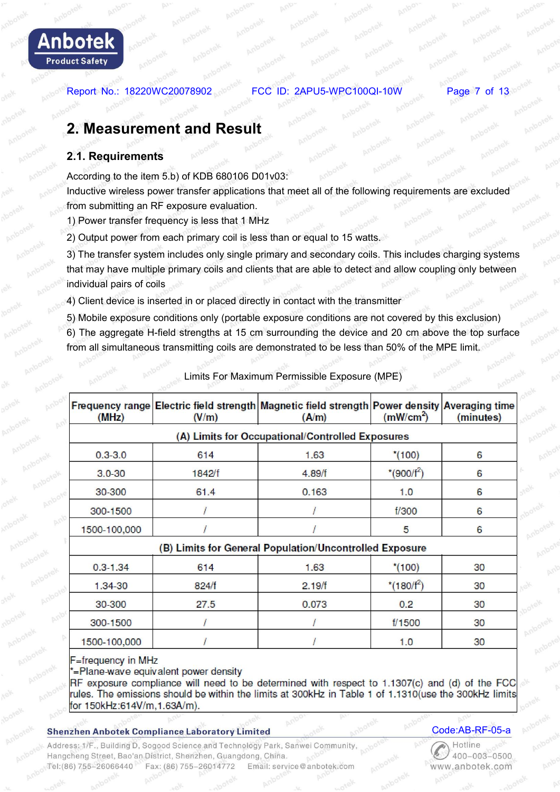![](_page_6_Picture_0.jpeg)

Report No.: 18220WC20078902 FCC ID: 2APU5-WPC100QI-10W Page 7 of 13

### <span id="page-6-0"></span>**2. Measurement and Result**

#### <span id="page-6-1"></span>**2.1. Requirements**

According to the item 5.b) of KDB 680106 D01v03:

Inductive wireless power transfer applications that meet all of the following requirements are excluded from submitting an RF exposure evaluation.

1) Power transfer frequency is less that 1 MHz

2) Output power from each primary coil is less than or equal to 15 watts.

3) The transfer system includes only single primary and secondary coils. This includes charging systems that may have multiple primary coils and clients that are able to detect and allow coupling only between individual pairs of coils

4) Client device is inserted in or placed directly in contact with the transmitter

5) Mobile exposure conditions only (portable exposure conditions are not covered by this exclusion)

6) The aggregate H-field strengths at 15 cm surrounding the device and 20 cm above the top surface from all simultaneous transmitting coils are demonstrated to be less than 50% of the MPE limit.

| (MHz)        | (N/m)  | Frequency range Electric field strength Magnetic field strength Power density Averaging time<br>(A/m) | (mW/cm <sup>2</sup> )  | (minutes) |
|--------------|--------|-------------------------------------------------------------------------------------------------------|------------------------|-----------|
|              |        | (A) Limits for Occupational/Controlled Exposures                                                      |                        |           |
| $0.3 - 3.0$  | 614    | 1.63                                                                                                  | $*(100)$               | 6         |
| $3.0 - 30$   | 1842/f | 4.89/f                                                                                                | *(900/f <sup>2</sup> ) | 6         |
| 30 300       | 61.4   | 0.163                                                                                                 | 1.0                    | 6         |
| 300-1500     |        |                                                                                                       | f/300                  | 6         |
| 1500-100,000 |        |                                                                                                       | 5                      | 6         |
|              |        | (B) Limits for General Population/Uncontrolled Exposure                                               |                        |           |
| $0.3 - 1.34$ | 614    | 1.63                                                                                                  | $*(100)$               | 30        |

Limits For Maximum Permissible Exposure (MPE)

#### \*(180/f<sup>2</sup>) 1.34-30 824/f  $2.19/f$ 30 30-300  $27.5$ 0.073  $0.2<sub>0</sub>$ 30 I  $\prime$ 300-1500  $f/1500$ 30 1500-100,000  $1.0$ 30

F=frequency in MHz

-Plane-wave equivalent power density

RF exposure compliance will need to be determined with respect to 1.1307(c) and (d) of the FCC rules. The emissions should be within the limits at 300kHz in Table 1 of 1.1310(use the 300kHz limits for 150kHz:614V/m,1.63A/m).

**Shenzhen Anbotek Compliance Laboratory Limited** 

Code:AB-RF-05-a

Address: 1/F., Building D, Sogood Science and Technology Park, Sanwei Community Hangcheng Street, Bao'an District, Shenzhen, Guangdong, China. Tel: (86) 755-26066440 Fax: (86) 755-26014772 Email: service@anbotek.com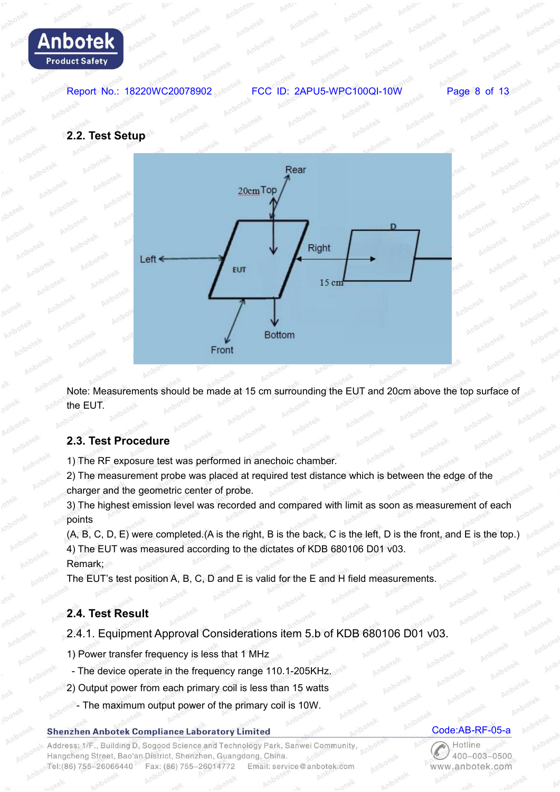Anbotek **Product Safety** 

Report No.: 18220WC20078902 FCC ID: 2APU5-WPC100QI-10W Page 8 of 13

<span id="page-7-0"></span>**2.2. Test Setup**

![](_page_7_Figure_3.jpeg)

Note: Measurements should be made at 15 cm surrounding the EUT and 20cm above the top surface of the EUT.

#### <span id="page-7-1"></span>**2.3. Test Procedure**

1) The RF exposure testwas performed in anechoic chamber.

2) The measurement probe was placed at required test distance which is between the edge of the charger and the geometric center of probe.

3) The highest emission level was recorded and compared with limit as soon as measurement of each points

(A, B, C, D, E) were completed.(A is the right, B is the back, C is the left, D is the front, and E is the top.) 4) The EUT was measured according to the dictates of KDB 680106 D01 v03.

Remark;

The EUT's test position A, B, C, D and E is valid for the E and H field measurements.

#### <span id="page-7-2"></span>**2.4. Test Result**

2.4.1. Equipment Approval Considerations item 5.b of KDB 680106 D01 v03.

- 1) Power transfer frequency is less that 1 MHz
- The device operate in the frequency range 110.1-205KHz.
- 2) Output power from each primary coil is less than 15 watts
	- The maximum output power of the primary coil is 10W.

#### **Shenzhen Anbotek Compliance Laboratory Limited**

Address: 1/F., Building D, Sogood Science and Technology Park, Sanwei Community Hangcheng Street, Bao'an District, Shenzhen, Guangdong, China. Tel: (86) 755-26066440 Fax: (86) 755-26014772 Email: service@anbotek.com

#### Code:AB-RF-05-a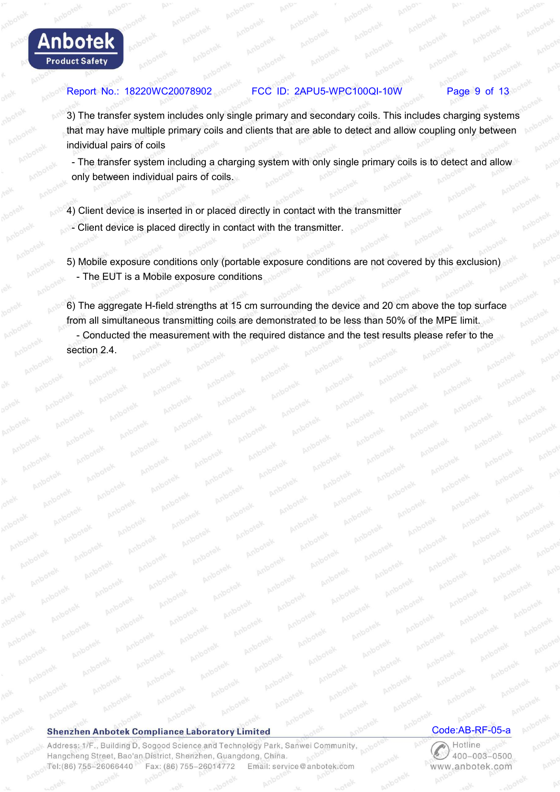![](_page_8_Picture_0.jpeg)

#### Report No.: 18220WC20078902 FCC ID: 2APU5-WPC100QI-10W Page 9 of 13

3) The transfer system includes only single primary and secondary coils. This includes charging systems that may have multiple primary coils and clients that are able to detect and allow coupling only between individual pairs of coils

- The transfer system including a charging system with only single primary coils is to detect and allow only between individual pairs of coils.

- 4) Client device is inserted in or placed directly in contact with the transmitter
- Client device is placed directly in contact with the transmitter.

5) Mobile exposure conditions only (portable exposure conditions are not covered by this exclusion) - The EUT is a Mobile exposure conditions

6) The aggregate H-field strengths at 15 cm surrounding the device and 20 cm above the top surface from all simultaneous transmitting coils are demonstrated to be less than 50% of the MPE limit. - Conducted the measurement with the required distance and the test results please refer to the section 2.4.

#### **Shenzhen Anbotek Compliance Laboratory Limited**

Address: 1/F., Building D, Sogood Science and Technology Park, Sanwei Community Hangcheng Street, Bao'an District, Shenzhen, Guangdong, China. Tel: (86) 755-26066440 Fax: (86) 755-26014772 Email: service@anbotek.com

#### Code:AB-RF-05-a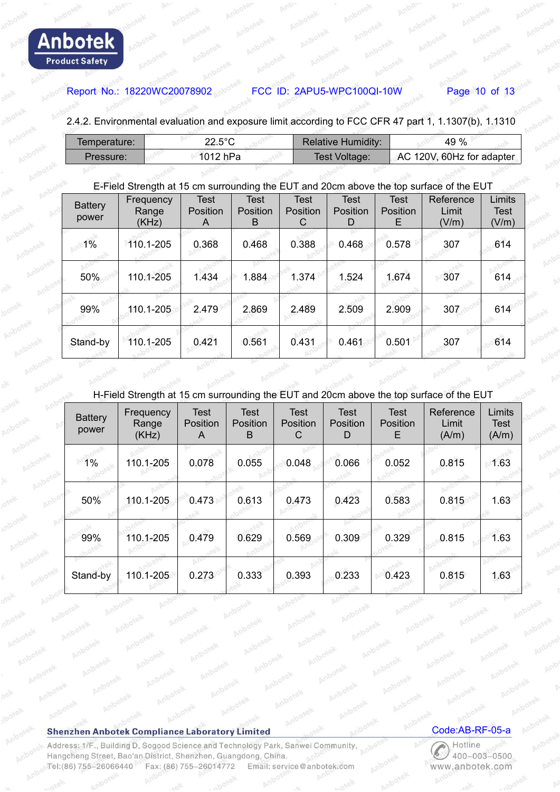![](_page_9_Picture_0.jpeg)

#### Report No.: 18220WC20078902 FCC ID: 2APU5-WPC100QI-10W Page 10 of 13

2.4.2. Environmental evaluation and exposure limit according to FCC CFR 47 part 1, 1.1307(b), 1.1310

| Temperature:      | $22.5^{\circ}$ C | <b>Relative Humidity:</b> | 49 %                           |
|-------------------|------------------|---------------------------|--------------------------------|
| <b>Pressure</b> . | 1012 hPa         | Test Voltage:             | : 120V, 60Hz for adapter<br>АC |

#### E-Field Strength at 15 cm surrounding the EUT and 20cm above the top surface of the EUT

|                |           |             | ັ           |             |             |             |           |             |  |
|----------------|-----------|-------------|-------------|-------------|-------------|-------------|-----------|-------------|--|
| <b>Battery</b> | Frequency | <b>Test</b> | <b>Test</b> | <b>Test</b> | <b>Test</b> | <b>Test</b> | Reference | Limits      |  |
| power          | Range     | Position    | Position    | Position    | Position    | Position    | Limit     | <b>Test</b> |  |
|                | (KHz)     | A           | B           | C           | D           | Е           | (V/m)     | (V/m)       |  |
| 1%             | 110.1-205 | 0.368       | 0.468       | 0.388       | 0.468       | 0.578       | 307       | 614         |  |
|                |           |             |             |             |             |             |           |             |  |
|                |           |             |             |             |             |             |           |             |  |
| 50%            | 110.1-205 | 1.434       | 1.884       | 1.374       | 1.524       | 1.674       | 307       | 614         |  |
|                |           |             |             |             |             |             |           |             |  |
| 99%            | 110.1-205 | 2.479       | 2.869       | 2.489       | 2.509       | 2.909       | 307       | 614         |  |
|                |           |             |             |             |             |             |           |             |  |
| Stand-by       | 110.1-205 | 0.421       | 0.561       | 0.431       | 0.461       | 0.501       | 307       | 614         |  |
|                |           |             |             |             |             |             |           |             |  |
|                |           |             |             |             |             |             |           |             |  |

#### H-Field Strength at 15 cm surrounding the EUT and 20cm above the top surface of the EUT

| <b>Battery</b><br>power | Frequency<br>Range<br>(KHz) | <b>Test</b><br>Position<br>A | Test<br>Position<br>B | <b>Test</b><br>Position<br>C | Test<br>Position<br>D | <b>Test</b><br>Position<br>E | Reference<br>Limit<br>(A/m) | Limits<br><b>Test</b><br>(A/m) |  |
|-------------------------|-----------------------------|------------------------------|-----------------------|------------------------------|-----------------------|------------------------------|-----------------------------|--------------------------------|--|
| 1%                      | 110.1-205                   | 0.078                        | 0.055                 | 0.048                        | 0.066                 | 0.052                        | 0.815                       | 1.63                           |  |
| 50%                     | 110.1-205                   | 0.473                        | 0.613                 | 0.473                        | 0.423                 | 0.583                        | 0.815                       | 1.63                           |  |
| 99%                     | 110.1-205                   | 0.479                        | 0.629                 | 0.569                        | 0.309                 | 0.329                        | 0.815                       | 1.63                           |  |
| Stand-by                | 110.1-205                   | 0.273                        | 0.333                 | 0.393                        | 0.233                 | 0.423                        | 0.815                       | 1.63                           |  |

#### **Shenzhen Anbotek Compliance Laboratory Limited**

Address: 1/F., Building D, Sogood Science and Technology Park, Sanwei Community Hangcheng Street, Bao'an District, Shenzhen, Guangdong, China. Tel:(86) 755-26066440 Fax: (86) 755-26014772 Email: service@anbotek.com

#### Code:AB-RF-05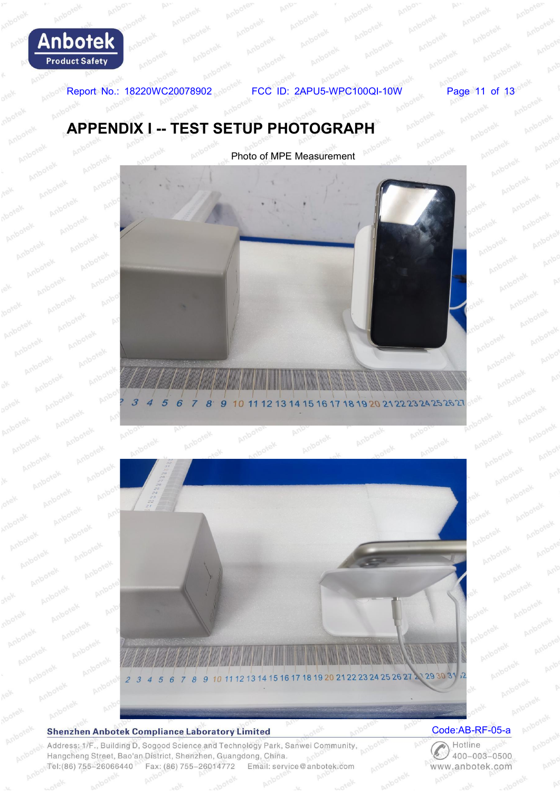#### **Shenzhen Anbotek Compliance Laboratory Limited**

Address: 1/F., Building D, Sogood Science and Technology Park, Sanwei Community, Hangcheng Street, Bao'an District, Shenzhen, Guangdong, China. Tel: (86) 755-26066440 Fax: (86) 755-26014772 Email: service@anbotek.com

#### Code:AB-RF-05-a

Alotline<br>400-003-0500 www.anbotek.com

![](_page_10_Picture_4.jpeg)

 $\mathcal{G}$ 10 11 12 13 14 15 16 17 18 19 20 21 22 23 24 25 26 27  $\boldsymbol{\delta}$ 

![](_page_10_Picture_6.jpeg)

Photo of MPE Measurement

## <span id="page-10-0"></span>**APPENDIX I -- TEST SETUP PHOTOGRAPH**

Report No.: 18220WC20078902 FCC ID: 2APU5-WPC100QI-10W Page 11 of 13

![](_page_10_Picture_10.jpeg)

Anboy

![](_page_10_Picture_11.jpeg)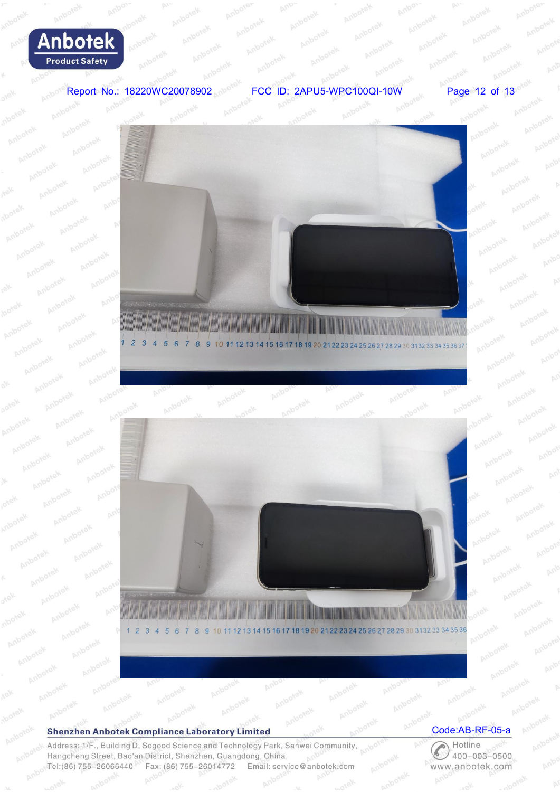![](_page_11_Picture_0.jpeg)

5  $6\phantom{a}$ 

Address: 1/F., Building D, Sogood Science and Technology Park, Sanwei Community, Hangcheng Street, Bao'an District, Shenzhen, Guangdong, China. Tel: (86) 755-26066440 Fax: (86) 755-26014772 Email: service@anbotek.com

#### Code:AB-RF-05-a

100-003-0500 www.anbotek.com

# 10 11 12 13 14 15 16 17 18 19 20 21 22 23 24 25 26 27 28 29 30 3132 33 34 35 36  $\overline{7}$  $\overline{8}$  $\overline{9}$

![](_page_11_Picture_5.jpeg)

![](_page_11_Picture_6.jpeg)

![](_page_11_Picture_7.jpeg)

![](_page_11_Picture_8.jpeg)